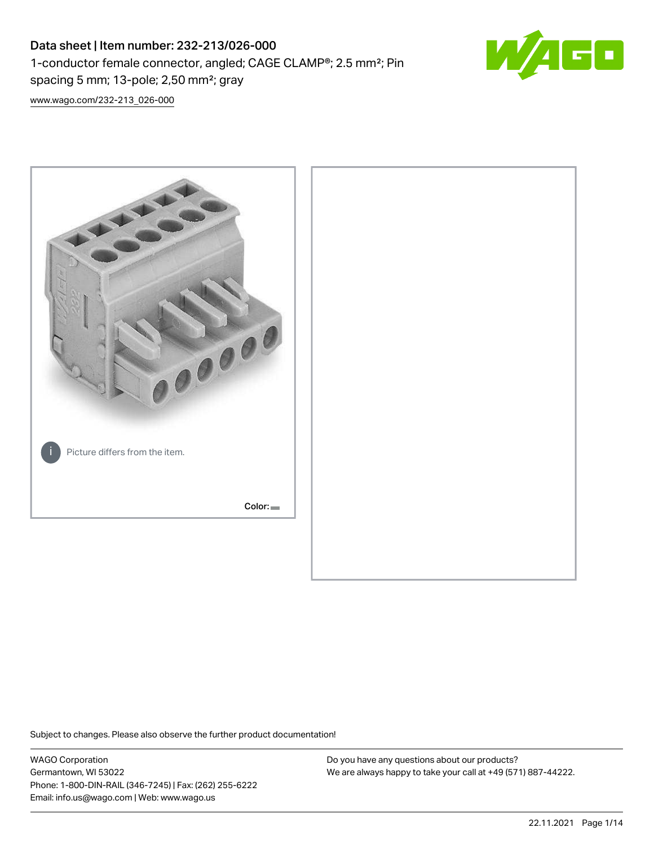# Data sheet | Item number: 232-213/026-000 1-conductor female connector, angled; CAGE CLAMP®; 2.5 mm²; Pin spacing 5 mm; 13-pole; 2,50 mm²; gray



[www.wago.com/232-213\\_026-000](http://www.wago.com/232-213_026-000)



Subject to changes. Please also observe the further product documentation!

WAGO Corporation Germantown, WI 53022 Phone: 1-800-DIN-RAIL (346-7245) | Fax: (262) 255-6222 Email: info.us@wago.com | Web: www.wago.us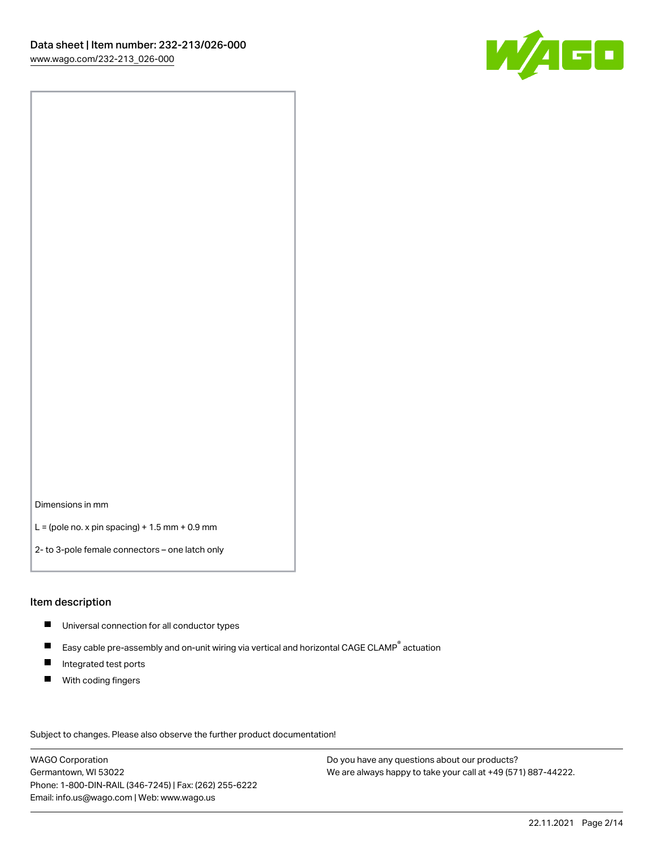

Dimensions in mm

 $L =$  (pole no. x pin spacing) + 1.5 mm + 0.9 mm

2- to 3-pole female connectors – one latch only

#### Item description

- **Universal connection for all conductor types**
- Easy cable pre-assembly and on-unit wiring via vertical and horizontal CAGE CLAMP<sup>®</sup> actuation  $\blacksquare$
- $\blacksquare$ Integrated test ports
- $\blacksquare$ With coding fingers

Subject to changes. Please also observe the further product documentation! Data

WAGO Corporation Germantown, WI 53022 Phone: 1-800-DIN-RAIL (346-7245) | Fax: (262) 255-6222 Email: info.us@wago.com | Web: www.wago.us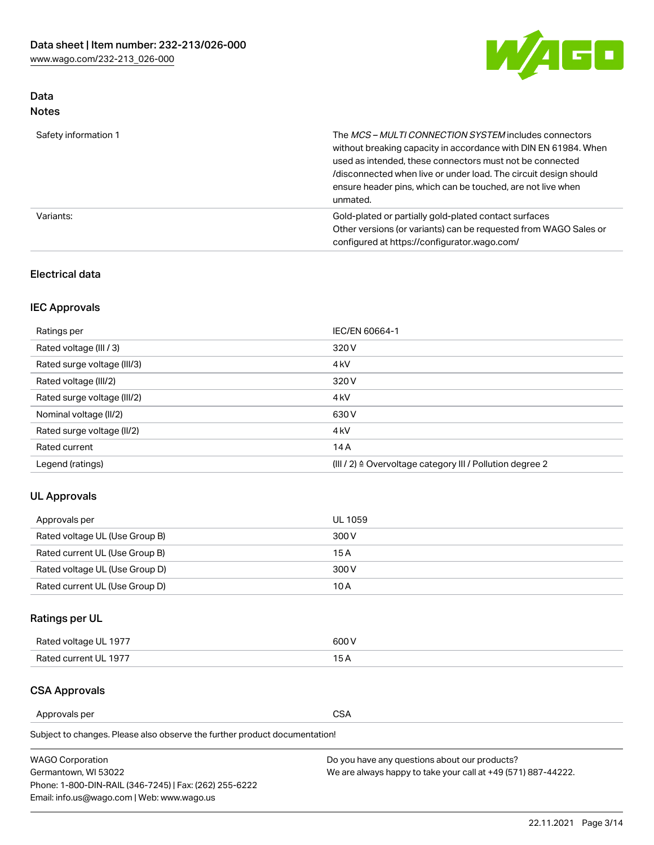

# Data Notes

| Safety information 1 | The MCS-MULTI CONNECTION SYSTEM includes connectors<br>without breaking capacity in accordance with DIN EN 61984. When<br>used as intended, these connectors must not be connected<br>/disconnected when live or under load. The circuit design should<br>ensure header pins, which can be touched, are not live when<br>unmated. |
|----------------------|-----------------------------------------------------------------------------------------------------------------------------------------------------------------------------------------------------------------------------------------------------------------------------------------------------------------------------------|
| Variants:            | Gold-plated or partially gold-plated contact surfaces<br>Other versions (or variants) can be requested from WAGO Sales or<br>configured at https://configurator.wago.com/                                                                                                                                                         |

### Electrical data

# IEC Approvals

| Ratings per                 | IEC/EN 60664-1                                                        |
|-----------------------------|-----------------------------------------------------------------------|
| Rated voltage (III / 3)     | 320 V                                                                 |
| Rated surge voltage (III/3) | 4 <sub>k</sub> V                                                      |
| Rated voltage (III/2)       | 320 V                                                                 |
| Rated surge voltage (III/2) | 4 <sub>k</sub> V                                                      |
| Nominal voltage (II/2)      | 630 V                                                                 |
| Rated surge voltage (II/2)  | 4 <sub>k</sub> V                                                      |
| Rated current               | 14A                                                                   |
| Legend (ratings)            | $(III / 2)$ $\triangle$ Overvoltage category III / Pollution degree 2 |

## UL Approvals

| Approvals per                  | UL 1059 |
|--------------------------------|---------|
| Rated voltage UL (Use Group B) | 300 V   |
| Rated current UL (Use Group B) | 15 A    |
| Rated voltage UL (Use Group D) | 300 V   |
| Rated current UL (Use Group D) | 10 A    |

# Ratings per UL

| Rated voltage UL 1977 | 500 V  |
|-----------------------|--------|
| Rated current UL 1977 | $\sim$ |

# CSA Approvals

Approvals per CSA

| <b>WAGO Corporation</b>                                | Do you have any questions about our products?                 |
|--------------------------------------------------------|---------------------------------------------------------------|
| Germantown, WI 53022                                   | We are always happy to take your call at +49 (571) 887-44222. |
| Phone: 1-800-DIN-RAIL (346-7245)   Fax: (262) 255-6222 |                                                               |
| Email: info.us@wago.com   Web: www.wago.us             |                                                               |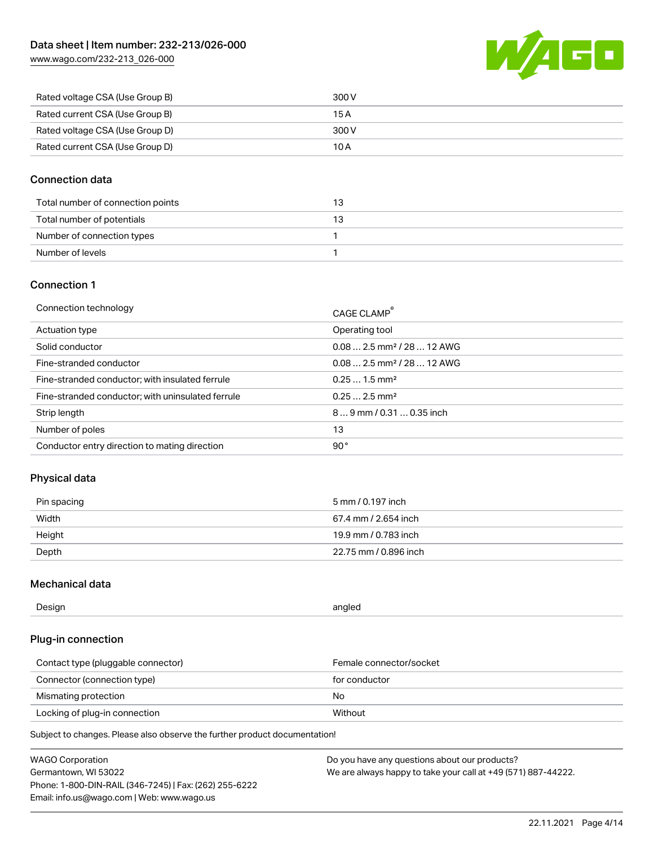[www.wago.com/232-213\\_026-000](http://www.wago.com/232-213_026-000)



| Rated voltage CSA (Use Group B) | 300 V |
|---------------------------------|-------|
| Rated current CSA (Use Group B) | 15 A  |
| Rated voltage CSA (Use Group D) | 300 V |
| Rated current CSA (Use Group D) | 10 A  |

### Connection data

| Total number of connection points |  |
|-----------------------------------|--|
| Total number of potentials        |  |
| Number of connection types        |  |
| Number of levels                  |  |

#### Connection 1

| Connection technology                             | CAGE CLAMP®                            |
|---------------------------------------------------|----------------------------------------|
| Actuation type                                    | Operating tool                         |
| Solid conductor                                   | $0.082.5$ mm <sup>2</sup> / 28  12 AWG |
| Fine-stranded conductor                           | $0.082.5$ mm <sup>2</sup> / 28  12 AWG |
| Fine-stranded conductor; with insulated ferrule   | $0.251.5$ mm <sup>2</sup>              |
| Fine-stranded conductor; with uninsulated ferrule | $0.252.5$ mm <sup>2</sup>              |
| Strip length                                      | $89$ mm / 0.31  0.35 inch              |
| Number of poles                                   | 13                                     |
| Conductor entry direction to mating direction     | 90°                                    |
|                                                   |                                        |

## Physical data

| Pin spacing | 5 mm / 0.197 inch     |
|-------------|-----------------------|
| Width       | 67.4 mm / 2.654 inch  |
| Height      | 19.9 mm / 0.783 inch  |
| Depth       | 22.75 mm / 0.896 inch |

#### Mechanical data

| Design<br>angled |  |
|------------------|--|
|------------------|--|

# Plug-in connection

| Contact type (pluggable connector) | Female connector/socket |
|------------------------------------|-------------------------|
| Connector (connection type)        | for conductor           |
| Mismating protection               | No.                     |
| Locking of plug-in connection      | Without                 |

| <b>WAGO Corporation</b>                                | Do you have any questions about our products?                 |
|--------------------------------------------------------|---------------------------------------------------------------|
| Germantown, WI 53022                                   | We are always happy to take your call at +49 (571) 887-44222. |
| Phone: 1-800-DIN-RAIL (346-7245)   Fax: (262) 255-6222 |                                                               |
| Email: info.us@wago.com   Web: www.wago.us             |                                                               |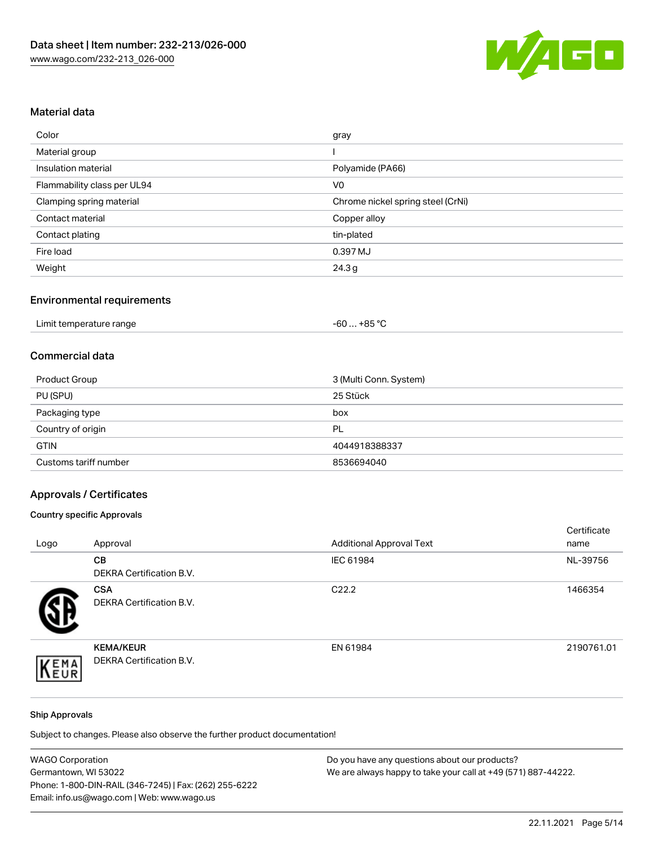

# Material data

| Color                       | gray                              |
|-----------------------------|-----------------------------------|
| Material group              |                                   |
| Insulation material         | Polyamide (PA66)                  |
| Flammability class per UL94 | V <sub>0</sub>                    |
| Clamping spring material    | Chrome nickel spring steel (CrNi) |
| Contact material            | Copper alloy                      |
| Contact plating             | tin-plated                        |
| Fire load                   | 0.397 MJ                          |
| Weight                      | 24.3g                             |

### Environmental requirements

| Limit temperature range<br>.<br>. | +85 °ົ<br>-60 |
|-----------------------------------|---------------|
|-----------------------------------|---------------|

#### Commercial data

| Product Group         | 3 (Multi Conn. System) |
|-----------------------|------------------------|
| PU (SPU)              | 25 Stück               |
| Packaging type        | box                    |
| Country of origin     | PL                     |
| <b>GTIN</b>           | 4044918388337          |
| Customs tariff number | 8536694040             |

# Approvals / Certificates

### Country specific Approvals

| Logo | Approval                                            | <b>Additional Approval Text</b> | Certificate<br>name |
|------|-----------------------------------------------------|---------------------------------|---------------------|
|      | <b>CB</b><br><b>DEKRA Certification B.V.</b>        | IEC 61984                       | NL-39756            |
|      | <b>CSA</b><br>DEKRA Certification B.V.              | C <sub>22.2</sub>               | 1466354             |
| EMA  | <b>KEMA/KEUR</b><br><b>DEKRA Certification B.V.</b> | EN 61984                        | 2190761.01          |

#### Ship Approvals

| <b>WAGO Corporation</b>                                | Do you have any questions about our products?                 |
|--------------------------------------------------------|---------------------------------------------------------------|
| Germantown, WI 53022                                   | We are always happy to take your call at +49 (571) 887-44222. |
| Phone: 1-800-DIN-RAIL (346-7245)   Fax: (262) 255-6222 |                                                               |
| Email: info.us@wago.com   Web: www.wago.us             |                                                               |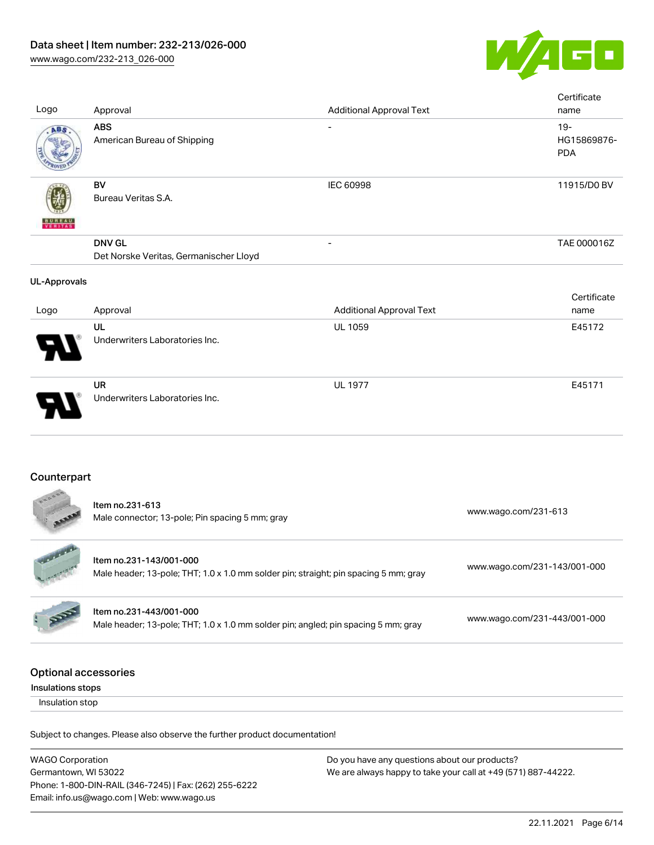

| Logo                                             | Approval                                                                                                        | <b>Additional Approval Text</b> | Certificate<br>name                 |
|--------------------------------------------------|-----------------------------------------------------------------------------------------------------------------|---------------------------------|-------------------------------------|
| ABS                                              | <b>ABS</b><br>American Bureau of Shipping                                                                       |                                 | $19 -$<br>HG15869876-<br><b>PDA</b> |
|                                                  | <b>BV</b><br>Bureau Veritas S.A.                                                                                | <b>IEC 60998</b>                | 11915/D0 BV                         |
|                                                  | <b>DNV GL</b><br>Det Norske Veritas, Germanischer Lloyd                                                         |                                 | TAE 000016Z                         |
| <b>UL-Approvals</b>                              |                                                                                                                 |                                 |                                     |
| Logo                                             | Approval                                                                                                        | <b>Additional Approval Text</b> | Certificate<br>name                 |
|                                                  | UL<br>Underwriters Laboratories Inc.                                                                            | <b>UL 1059</b>                  | E45172                              |
|                                                  | <b>UR</b><br>Underwriters Laboratories Inc.                                                                     | <b>UL 1977</b>                  | E45171                              |
| Counterpart                                      |                                                                                                                 |                                 |                                     |
|                                                  | Item no.231-613<br>Male connector; 13-pole; Pin spacing 5 mm; gray                                              |                                 | www.wago.com/231-613                |
|                                                  | Item no.231-143/001-000<br>Male header; 13-pole; THT; 1.0 x 1.0 mm solder pin; straight; pin spacing 5 mm; gray |                                 | www.wago.com/231-143/001-000        |
|                                                  | Item no.231-443/001-000<br>Male header; 13-pole; THT; 1.0 x 1.0 mm solder pin; angled; pin spacing 5 mm; gray   |                                 | www.wago.com/231-443/001-000        |
| <b>Optional accessories</b><br>Insulations stops |                                                                                                                 |                                 |                                     |
| Insulation stop                                  |                                                                                                                 |                                 |                                     |
|                                                  | Subject to changes. Please also observe the further product documentation!                                      |                                 |                                     |

WAGO Corporation Germantown, WI 53022 Phone: 1-800-DIN-RAIL (346-7245) | Fax: (262) 255-6222 Email: info.us@wago.com | Web: www.wago.us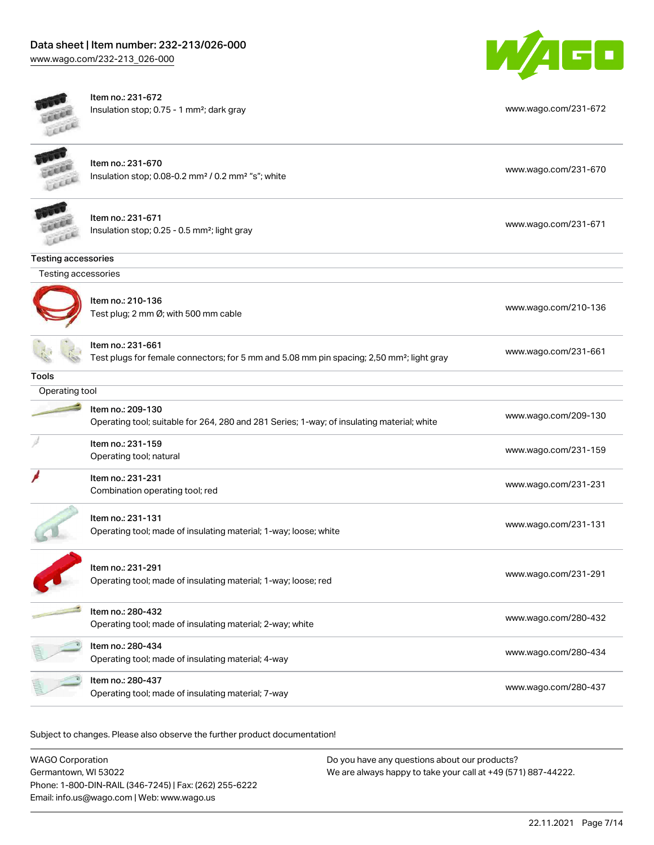[www.wago.com/232-213\\_026-000](http://www.wago.com/232-213_026-000)



|                     | Item no.: 231-672                                                                                     |                      |
|---------------------|-------------------------------------------------------------------------------------------------------|----------------------|
|                     | Insulation stop; 0.75 - 1 mm <sup>2</sup> ; dark gray                                                 | www.wago.com/231-672 |
| ELLE                |                                                                                                       |                      |
|                     |                                                                                                       |                      |
|                     | Item no.: 231-670                                                                                     |                      |
|                     | Insulation stop; 0.08-0.2 mm <sup>2</sup> / 0.2 mm <sup>2</sup> "s"; white                            | www.wago.com/231-670 |
|                     |                                                                                                       |                      |
|                     | Item no.: 231-671                                                                                     |                      |
|                     | Insulation stop; 0.25 - 0.5 mm <sup>2</sup> ; light gray                                              | www.wago.com/231-671 |
|                     |                                                                                                       |                      |
| Testing accessories |                                                                                                       |                      |
| Testing accessories |                                                                                                       |                      |
|                     |                                                                                                       |                      |
|                     | Item no.: 210-136                                                                                     | www.wago.com/210-136 |
|                     | Test plug; 2 mm Ø; with 500 mm cable                                                                  |                      |
|                     | Item no.: 231-661                                                                                     |                      |
|                     | Test plugs for female connectors; for 5 mm and 5.08 mm pin spacing; 2,50 mm <sup>2</sup> ; light gray | www.wago.com/231-661 |
| <b>Tools</b>        |                                                                                                       |                      |
| Operating tool      |                                                                                                       |                      |
|                     | Item no.: 209-130                                                                                     |                      |
|                     | Operating tool; suitable for 264, 280 and 281 Series; 1-way; of insulating material; white            | www.wago.com/209-130 |
|                     | Item no.: 231-159                                                                                     |                      |
|                     | Operating tool; natural                                                                               | www.wago.com/231-159 |
|                     | Item no.: 231-231                                                                                     |                      |
|                     | Combination operating tool; red                                                                       | www.wago.com/231-231 |
|                     |                                                                                                       |                      |
|                     | Item no.: 231-131                                                                                     |                      |
|                     | Operating tool; made of insulating material; 1-way; loose; white                                      | www.wago.com/231-131 |
|                     |                                                                                                       |                      |
|                     | Item no.: 231-291                                                                                     |                      |
|                     | Operating tool; made of insulating material; 1-way; loose; red                                        | www.wago.com/231-291 |
|                     |                                                                                                       |                      |
|                     | Item no.: 280-432                                                                                     |                      |
|                     | Operating tool; made of insulating material; 2-way; white                                             | www.wago.com/280-432 |
|                     | Item no.: 280-434                                                                                     |                      |
|                     | Operating tool; made of insulating material; 4-way                                                    | www.wago.com/280-434 |
|                     | Item no.: 280-437                                                                                     |                      |
|                     | Operating tool; made of insulating material; 7-way                                                    | www.wago.com/280-437 |
|                     |                                                                                                       |                      |

| WAGO Corporation                                       | Do you have any questions about our products?                 |
|--------------------------------------------------------|---------------------------------------------------------------|
| Germantown, WI 53022                                   | We are always happy to take your call at +49 (571) 887-44222. |
| Phone: 1-800-DIN-RAIL (346-7245)   Fax: (262) 255-6222 |                                                               |
| Email: info.us@wago.com   Web: www.wago.us             |                                                               |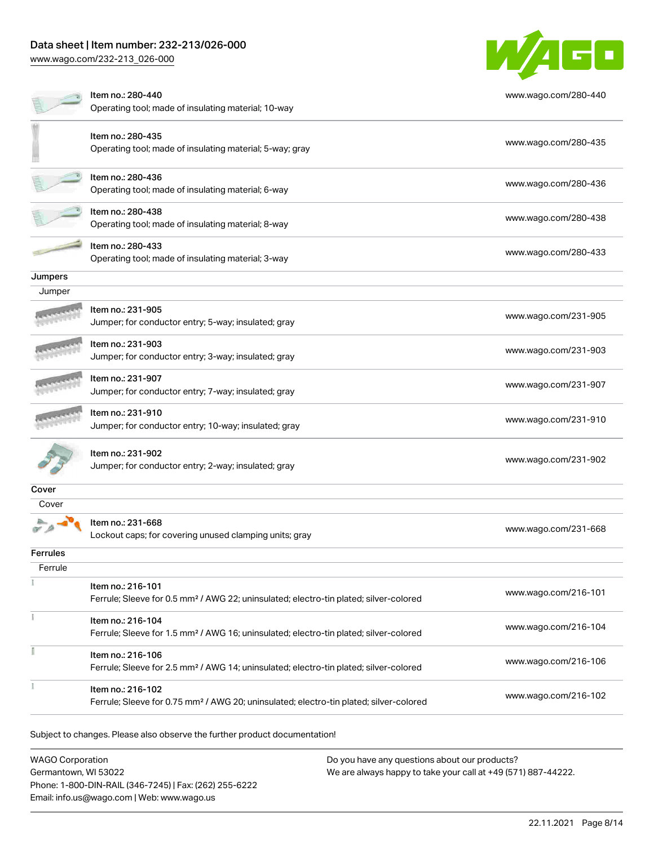# Data sheet | Item number: 232-213/026-000

[www.wago.com/232-213\\_026-000](http://www.wago.com/232-213_026-000)



|          | Item no.: 280-440                                                                                 | www.wago.com/280-440 |
|----------|---------------------------------------------------------------------------------------------------|----------------------|
|          | Operating tool; made of insulating material; 10-way                                               |                      |
|          | Item no.: 280-435                                                                                 |                      |
|          | Operating tool; made of insulating material; 5-way; gray                                          | www.wago.com/280-435 |
|          | Item no.: 280-436                                                                                 | www.wago.com/280-436 |
|          | Operating tool; made of insulating material; 6-way                                                |                      |
|          | Item no.: 280-438                                                                                 |                      |
|          | Operating tool; made of insulating material; 8-way                                                | www.wago.com/280-438 |
|          | Item no.: 280-433                                                                                 |                      |
|          | Operating tool; made of insulating material; 3-way                                                | www.wago.com/280-433 |
| Jumpers  |                                                                                                   |                      |
| Jumper   |                                                                                                   |                      |
|          | Item no.: 231-905                                                                                 | www.wago.com/231-905 |
|          | Jumper; for conductor entry; 5-way; insulated; gray                                               |                      |
|          | Item no.: 231-903                                                                                 |                      |
|          | Jumper; for conductor entry; 3-way; insulated; gray                                               | www.wago.com/231-903 |
|          | Item no.: 231-907                                                                                 |                      |
|          | Jumper; for conductor entry; 7-way; insulated; gray                                               | www.wago.com/231-907 |
|          | Item no.: 231-910                                                                                 |                      |
|          | Jumper; for conductor entry; 10-way; insulated; gray                                              | www.wago.com/231-910 |
|          | Item no.: 231-902                                                                                 |                      |
|          | Jumper; for conductor entry; 2-way; insulated; gray                                               | www.wago.com/231-902 |
|          |                                                                                                   |                      |
| Cover    |                                                                                                   |                      |
| Cover    |                                                                                                   |                      |
|          | Item no.: 231-668                                                                                 | www.wago.com/231-668 |
|          | Lockout caps; for covering unused clamping units; gray                                            |                      |
| Ferrules |                                                                                                   |                      |
| Ferrule  |                                                                                                   |                      |
|          | Item no.: 216-101                                                                                 | www.wago.com/216-101 |
|          | Ferrule; Sleeve for 0.5 mm <sup>2</sup> / AWG 22; uninsulated; electro-tin plated; silver-colored |                      |
|          | Item no.: 216-104                                                                                 |                      |
|          | Ferrule; Sleeve for 1.5 mm <sup>2</sup> / AWG 16; uninsulated; electro-tin plated; silver-colored | www.wago.com/216-104 |
|          | Item no.: 216-106                                                                                 |                      |
|          | Ferrule; Sleeve for 2.5 mm <sup>2</sup> / AWG 14; uninsulated; electro-tin plated; silver-colored | www.wago.com/216-106 |
|          | Item no.: 216-102                                                                                 |                      |
|          |                                                                                                   |                      |

WAGO Corporation Germantown, WI 53022 Phone: 1-800-DIN-RAIL (346-7245) | Fax: (262) 255-6222 Email: info.us@wago.com | Web: www.wago.us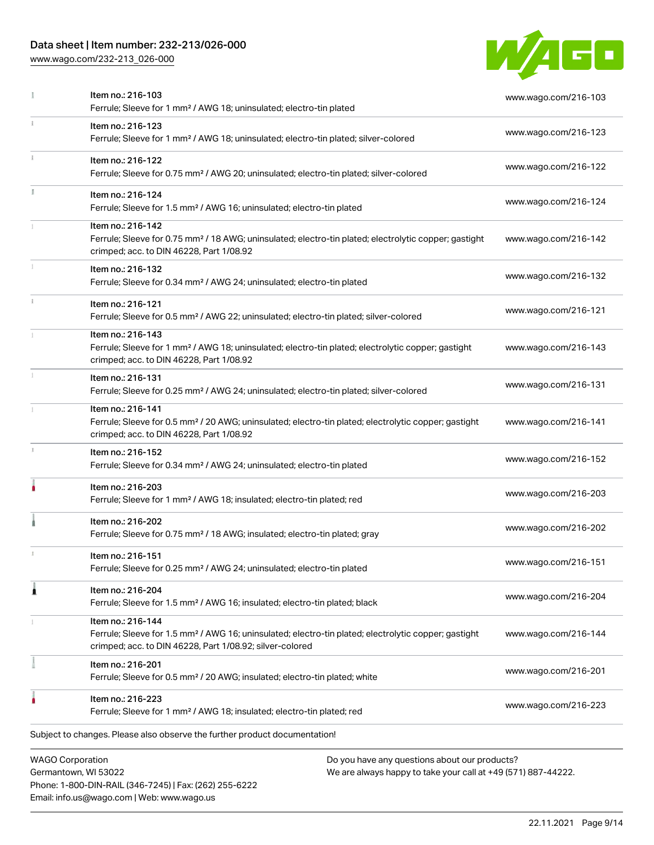# Data sheet | Item number: 232-213/026-000

Phone: 1-800-DIN-RAIL (346-7245) | Fax: (262) 255-6222

Email: info.us@wago.com | Web: www.wago.us

[www.wago.com/232-213\\_026-000](http://www.wago.com/232-213_026-000)



|    | Item no.: 216-103<br>Ferrule; Sleeve for 1 mm <sup>2</sup> / AWG 18; uninsulated; electro-tin plated                                                                                              |                                                                                                                | www.wago.com/216-103 |
|----|---------------------------------------------------------------------------------------------------------------------------------------------------------------------------------------------------|----------------------------------------------------------------------------------------------------------------|----------------------|
|    | Item no.: 216-123<br>Ferrule; Sleeve for 1 mm <sup>2</sup> / AWG 18; uninsulated; electro-tin plated; silver-colored                                                                              |                                                                                                                | www.wago.com/216-123 |
|    | Item no.: 216-122<br>Ferrule; Sleeve for 0.75 mm <sup>2</sup> / AWG 20; uninsulated; electro-tin plated; silver-colored                                                                           |                                                                                                                | www.wago.com/216-122 |
| I. | Item no.: 216-124<br>Ferrule; Sleeve for 1.5 mm <sup>2</sup> / AWG 16; uninsulated; electro-tin plated                                                                                            |                                                                                                                | www.wago.com/216-124 |
|    | Item no.: 216-142<br>Ferrule; Sleeve for 0.75 mm <sup>2</sup> / 18 AWG; uninsulated; electro-tin plated; electrolytic copper; gastight<br>crimped; acc. to DIN 46228, Part 1/08.92                |                                                                                                                | www.wago.com/216-142 |
|    | Item no.: 216-132<br>Ferrule; Sleeve for 0.34 mm <sup>2</sup> / AWG 24; uninsulated; electro-tin plated                                                                                           |                                                                                                                | www.wago.com/216-132 |
|    | Item no.: 216-121<br>Ferrule; Sleeve for 0.5 mm <sup>2</sup> / AWG 22; uninsulated; electro-tin plated; silver-colored                                                                            |                                                                                                                | www.wago.com/216-121 |
|    | Item no.: 216-143<br>Ferrule; Sleeve for 1 mm <sup>2</sup> / AWG 18; uninsulated; electro-tin plated; electrolytic copper; gastight<br>crimped; acc. to DIN 46228, Part 1/08.92                   |                                                                                                                | www.wago.com/216-143 |
|    | Item no.: 216-131<br>Ferrule; Sleeve for 0.25 mm <sup>2</sup> / AWG 24; uninsulated; electro-tin plated; silver-colored                                                                           |                                                                                                                | www.wago.com/216-131 |
|    | Item no.: 216-141<br>Ferrule; Sleeve for 0.5 mm <sup>2</sup> / 20 AWG; uninsulated; electro-tin plated; electrolytic copper; gastight<br>crimped; acc. to DIN 46228, Part 1/08.92                 |                                                                                                                | www.wago.com/216-141 |
|    | Item no.: 216-152<br>Ferrule; Sleeve for 0.34 mm <sup>2</sup> / AWG 24; uninsulated; electro-tin plated                                                                                           |                                                                                                                | www.wago.com/216-152 |
|    | Item no.: 216-203<br>Ferrule; Sleeve for 1 mm <sup>2</sup> / AWG 18; insulated; electro-tin plated; red                                                                                           |                                                                                                                | www.wago.com/216-203 |
|    | Item no.: 216-202<br>Ferrule; Sleeve for 0.75 mm <sup>2</sup> / 18 AWG; insulated; electro-tin plated; gray                                                                                       |                                                                                                                | www.wago.com/216-202 |
|    | Item no.: 216-151<br>Ferrule; Sleeve for 0.25 mm <sup>2</sup> / AWG 24; uninsulated; electro-tin plated                                                                                           |                                                                                                                | www.wago.com/216-151 |
| 1  | Item no.: 216-204<br>Ferrule; Sleeve for 1.5 mm <sup>2</sup> / AWG 16; insulated; electro-tin plated; black                                                                                       |                                                                                                                | www.wago.com/216-204 |
|    | Item no.: 216-144<br>Ferrule; Sleeve for 1.5 mm <sup>2</sup> / AWG 16; uninsulated; electro-tin plated; electrolytic copper; gastight<br>crimped; acc. to DIN 46228, Part 1/08.92; silver-colored |                                                                                                                | www.wago.com/216-144 |
|    | Item no.: 216-201<br>Ferrule; Sleeve for 0.5 mm <sup>2</sup> / 20 AWG; insulated; electro-tin plated; white                                                                                       |                                                                                                                | www.wago.com/216-201 |
|    | Item no.: 216-223<br>Ferrule; Sleeve for 1 mm <sup>2</sup> / AWG 18; insulated; electro-tin plated; red                                                                                           |                                                                                                                | www.wago.com/216-223 |
|    | Subject to changes. Please also observe the further product documentation!                                                                                                                        |                                                                                                                |                      |
|    | <b>WAGO Corporation</b><br>Germantown, WI 53022                                                                                                                                                   | Do you have any questions about our products?<br>We are always happy to take your call at +49 (571) 887-44222. |                      |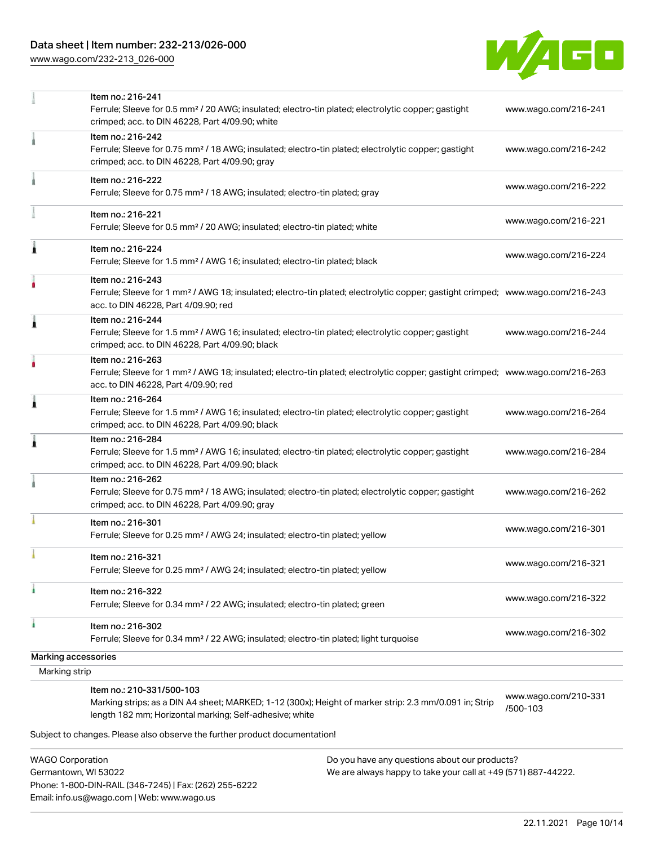# Data sheet | Item number: 232-213/026-000

[www.wago.com/232-213\\_026-000](http://www.wago.com/232-213_026-000)



|                     | Item no.: 216-241<br>Ferrule; Sleeve for 0.5 mm <sup>2</sup> / 20 AWG; insulated; electro-tin plated; electrolytic copper; gastight<br>crimped; acc. to DIN 46228, Part 4/09.90; white                  | www.wago.com/216-241             |
|---------------------|---------------------------------------------------------------------------------------------------------------------------------------------------------------------------------------------------------|----------------------------------|
|                     | Item no.: 216-242<br>Ferrule; Sleeve for 0.75 mm <sup>2</sup> / 18 AWG; insulated; electro-tin plated; electrolytic copper; gastight<br>crimped; acc. to DIN 46228, Part 4/09.90; gray                  | www.wago.com/216-242             |
|                     | Item no.: 216-222<br>Ferrule; Sleeve for 0.75 mm <sup>2</sup> / 18 AWG; insulated; electro-tin plated; gray                                                                                             | www.wago.com/216-222             |
|                     | Item no.: 216-221<br>Ferrule; Sleeve for 0.5 mm <sup>2</sup> / 20 AWG; insulated; electro-tin plated; white                                                                                             | www.wago.com/216-221             |
| Â                   | Item no.: 216-224<br>Ferrule; Sleeve for 1.5 mm <sup>2</sup> / AWG 16; insulated; electro-tin plated; black                                                                                             | www.wago.com/216-224             |
|                     | Item no.: 216-243<br>Ferrule; Sleeve for 1 mm <sup>2</sup> / AWG 18; insulated; electro-tin plated; electrolytic copper; gastight crimped; www.wago.com/216-243<br>acc. to DIN 46228, Part 4/09.90; red |                                  |
| 1                   | Item no.: 216-244<br>Ferrule; Sleeve for 1.5 mm <sup>2</sup> / AWG 16; insulated; electro-tin plated; electrolytic copper; gastight<br>crimped; acc. to DIN 46228, Part 4/09.90; black                  | www.wago.com/216-244             |
|                     | Item no.: 216-263<br>Ferrule; Sleeve for 1 mm <sup>2</sup> / AWG 18; insulated; electro-tin plated; electrolytic copper; gastight crimped; www.wago.com/216-263<br>acc. to DIN 46228, Part 4/09.90; red |                                  |
| Â                   | Item no.: 216-264<br>Ferrule; Sleeve for 1.5 mm <sup>2</sup> / AWG 16; insulated; electro-tin plated; electrolytic copper; gastight<br>crimped; acc. to DIN 46228, Part 4/09.90; black                  | www.wago.com/216-264             |
| Â                   | Item no.: 216-284<br>Ferrule; Sleeve for 1.5 mm <sup>2</sup> / AWG 16; insulated; electro-tin plated; electrolytic copper; gastight<br>crimped; acc. to DIN 46228, Part 4/09.90; black                  | www.wago.com/216-284             |
|                     | Item no.: 216-262<br>Ferrule; Sleeve for 0.75 mm <sup>2</sup> / 18 AWG; insulated; electro-tin plated; electrolytic copper; gastight<br>crimped; acc. to DIN 46228, Part 4/09.90; gray                  | www.wago.com/216-262             |
|                     | Item no.: 216-301<br>Ferrule; Sleeve for 0.25 mm <sup>2</sup> / AWG 24; insulated; electro-tin plated; yellow                                                                                           | www.wago.com/216-301             |
|                     | Item no.: 216-321<br>Ferrule; Sleeve for 0.25 mm <sup>2</sup> / AWG 24; insulated; electro-tin plated; yellow                                                                                           | www.wago.com/216-321             |
|                     | Item no.: 216-322<br>Ferrule; Sleeve for 0.34 mm <sup>2</sup> / 22 AWG; insulated; electro-tin plated; green                                                                                            | www.wago.com/216-322             |
| ۸                   | Item no.: 216-302<br>Ferrule; Sleeve for 0.34 mm <sup>2</sup> / 22 AWG; insulated; electro-tin plated; light turquoise                                                                                  | www.wago.com/216-302             |
| Marking accessories |                                                                                                                                                                                                         |                                  |
| Marking strip       |                                                                                                                                                                                                         |                                  |
|                     | Item no.: 210-331/500-103<br>Marking strips; as a DIN A4 sheet; MARKED; 1-12 (300x); Height of marker strip: 2.3 mm/0.091 in; Strip<br>length 182 mm; Horizontal marking; Self-adhesive; white          | www.wago.com/210-331<br>/500-103 |
|                     | Subject to changes. Please also observe the further product documentation!                                                                                                                              |                                  |
|                     |                                                                                                                                                                                                         |                                  |

WAGO Corporation Germantown, WI 53022 Phone: 1-800-DIN-RAIL (346-7245) | Fax: (262) 255-6222 Email: info.us@wago.com | Web: www.wago.us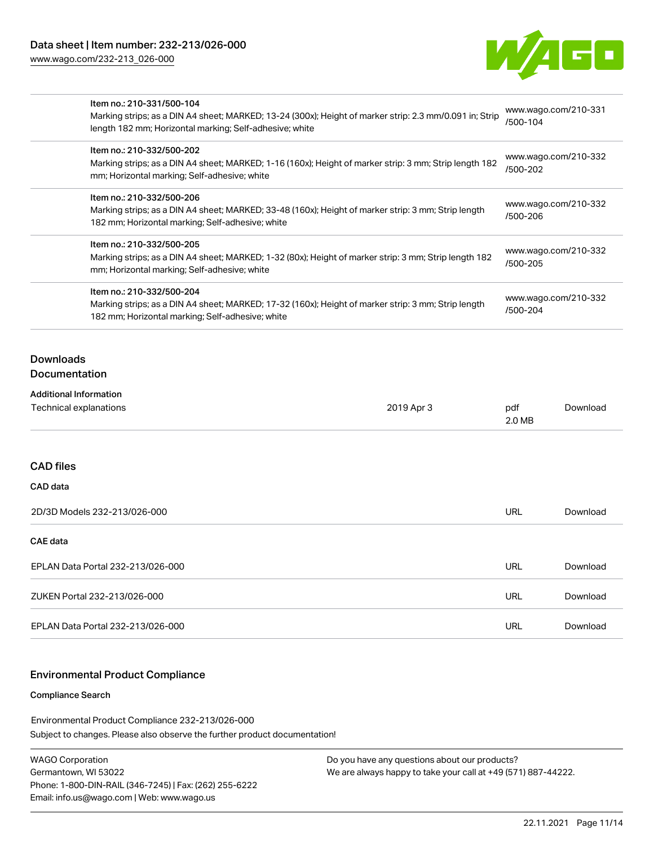[www.wago.com/232-213\\_026-000](http://www.wago.com/232-213_026-000)



| Item no.: 210-331/500-104<br>Marking strips; as a DIN A4 sheet; MARKED; 13-24 (300x); Height of marker strip: 2.3 mm/0.091 in; Strip<br>length 182 mm; Horizontal marking; Self-adhesive; white<br>Item no.: 210-332/500-202<br>Marking strips; as a DIN A4 sheet; MARKED; 1-16 (160x); Height of marker strip: 3 mm; Strip length 182<br>mm; Horizontal marking; Self-adhesive; white<br>Item no.: 210-332/500-206<br>Marking strips; as a DIN A4 sheet; MARKED; 33-48 (160x); Height of marker strip: 3 mm; Strip length<br>182 mm; Horizontal marking; Self-adhesive; white<br>Item no.: 210-332/500-205<br>Marking strips; as a DIN A4 sheet; MARKED; 1-32 (80x); Height of marker strip: 3 mm; Strip length 182<br>mm; Horizontal marking; Self-adhesive; white |  | www.wago.com/210-331<br>/500-104<br>www.wago.com/210-332<br>/500-202<br>www.wago.com/210-332<br>/500-206<br>www.wago.com/210-332<br>/500-205 |          |                                                                                                                                                                                      |            |                                  |          |
|----------------------------------------------------------------------------------------------------------------------------------------------------------------------------------------------------------------------------------------------------------------------------------------------------------------------------------------------------------------------------------------------------------------------------------------------------------------------------------------------------------------------------------------------------------------------------------------------------------------------------------------------------------------------------------------------------------------------------------------------------------------------|--|----------------------------------------------------------------------------------------------------------------------------------------------|----------|--------------------------------------------------------------------------------------------------------------------------------------------------------------------------------------|------------|----------------------------------|----------|
|                                                                                                                                                                                                                                                                                                                                                                                                                                                                                                                                                                                                                                                                                                                                                                      |  |                                                                                                                                              |          | Item no.: 210-332/500-204<br>Marking strips; as a DIN A4 sheet; MARKED; 17-32 (160x); Height of marker strip: 3 mm; Strip length<br>182 mm; Horizontal marking; Self-adhesive; white |            | www.wago.com/210-332<br>/500-204 |          |
|                                                                                                                                                                                                                                                                                                                                                                                                                                                                                                                                                                                                                                                                                                                                                                      |  |                                                                                                                                              |          | <b>Downloads</b><br><b>Documentation</b>                                                                                                                                             |            |                                  |          |
|                                                                                                                                                                                                                                                                                                                                                                                                                                                                                                                                                                                                                                                                                                                                                                      |  |                                                                                                                                              |          | <b>Additional Information</b><br>Technical explanations                                                                                                                              | 2019 Apr 3 | pdf<br>2.0 MB                    | Download |
| <b>CAD files</b>                                                                                                                                                                                                                                                                                                                                                                                                                                                                                                                                                                                                                                                                                                                                                     |  |                                                                                                                                              |          |                                                                                                                                                                                      |            |                                  |          |
| CAD data                                                                                                                                                                                                                                                                                                                                                                                                                                                                                                                                                                                                                                                                                                                                                             |  |                                                                                                                                              |          |                                                                                                                                                                                      |            |                                  |          |
| 2D/3D Models 232-213/026-000                                                                                                                                                                                                                                                                                                                                                                                                                                                                                                                                                                                                                                                                                                                                         |  | <b>URL</b>                                                                                                                                   | Download |                                                                                                                                                                                      |            |                                  |          |
| <b>CAE</b> data                                                                                                                                                                                                                                                                                                                                                                                                                                                                                                                                                                                                                                                                                                                                                      |  |                                                                                                                                              |          |                                                                                                                                                                                      |            |                                  |          |
| EPLAN Data Portal 232-213/026-000                                                                                                                                                                                                                                                                                                                                                                                                                                                                                                                                                                                                                                                                                                                                    |  | <b>URL</b>                                                                                                                                   | Download |                                                                                                                                                                                      |            |                                  |          |
| ZUKEN Portal 232-213/026-000                                                                                                                                                                                                                                                                                                                                                                                                                                                                                                                                                                                                                                                                                                                                         |  | <b>URL</b>                                                                                                                                   | Download |                                                                                                                                                                                      |            |                                  |          |
| EPLAN Data Portal 232-213/026-000                                                                                                                                                                                                                                                                                                                                                                                                                                                                                                                                                                                                                                                                                                                                    |  | <b>URL</b>                                                                                                                                   | Download |                                                                                                                                                                                      |            |                                  |          |

### Environmental Product Compliance

#### Compliance Search

Subject to changes. Please also observe the further product documentation! Environmental Product Compliance 232-213/026-000

| WAGO Corporation                                       |
|--------------------------------------------------------|
| Germantown, WI 53022                                   |
| Phone: 1-800-DIN-RAIL (346-7245)   Fax: (262) 255-6222 |
| Email: info.us@wago.com   Web: www.wago.us             |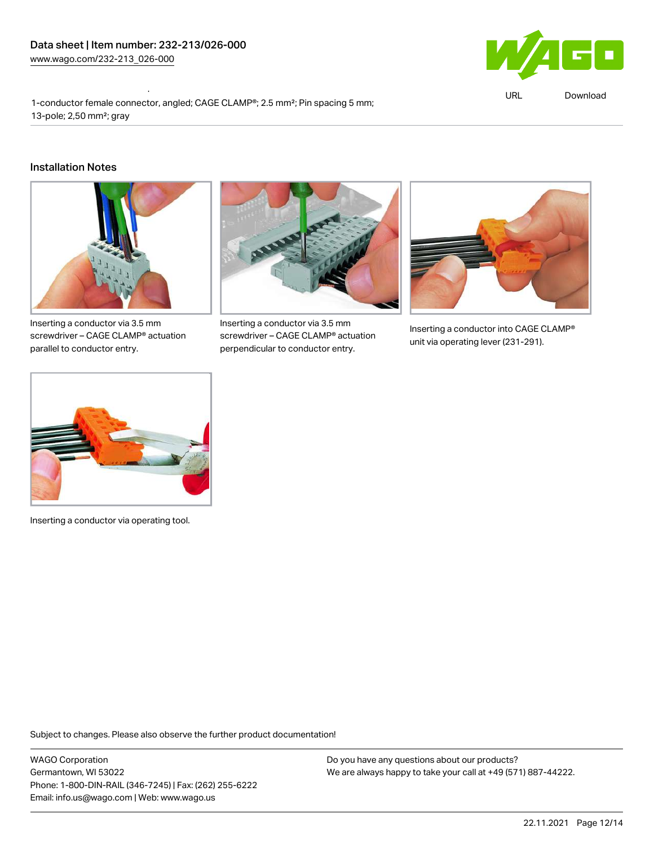Environmental Product Compliance 232-213/026-000



URL [Download](https://www.wago.com/global/d/ComplianceLinkMediaContainer_232-213_026-000)

1-conductor female connector, angled; CAGE CLAMP®; 2.5 mm²; Pin spacing 5 mm; 13-pole; 2,50 mm²; gray

#### Installation Notes



Inserting a conductor via 3.5 mm screwdriver – CAGE CLAMP® actuation parallel to conductor entry.



Inserting a conductor via 3.5 mm screwdriver – CAGE CLAMP® actuation perpendicular to conductor entry.



Inserting a conductor into CAGE CLAMP® unit via operating lever (231-291).



Inserting a conductor via operating tool.

Subject to changes. Please also observe the further product documentation!

WAGO Corporation Germantown, WI 53022 Phone: 1-800-DIN-RAIL (346-7245) | Fax: (262) 255-6222 Email: info.us@wago.com | Web: www.wago.us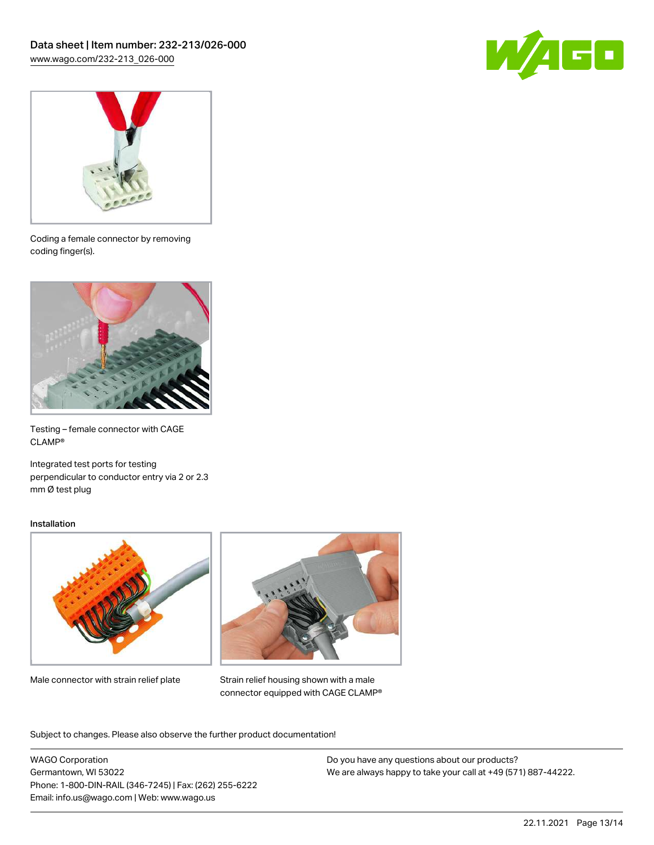



Coding a female connector by removing coding finger(s).



Testing – female connector with CAGE CLAMP®

Integrated test ports for testing perpendicular to conductor entry via 2 or 2.3 mm Ø test plug

#### Installation



Male connector with strain relief plate



Strain relief housing shown with a male connector equipped with CAGE CLAMP®

Subject to changes. Please also observe the further product documentation!

WAGO Corporation Germantown, WI 53022 Phone: 1-800-DIN-RAIL (346-7245) | Fax: (262) 255-6222 Email: info.us@wago.com | Web: www.wago.us